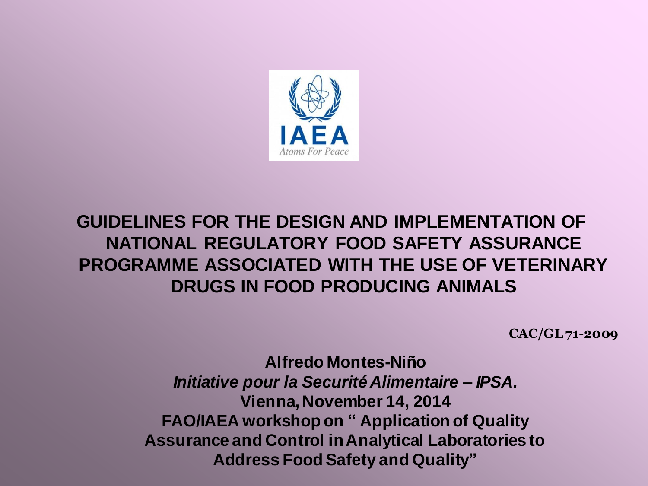

#### **GUIDELINES FOR THE DESIGN AND IMPLEMENTATION OF NATIONAL REGULATORY FOOD SAFETY ASSURANCE PROGRAMME ASSOCIATED WITH THE USE OF VETERINARY DRUGS IN FOOD PRODUCING ANIMALS**

**CAC/GL 71-2009**

**Alfredo Montes-Niño** *Initiative pour la Securité Alimentaire – IPSA.* **Vienna, November 14, 2014 FAO/IAEA workshop on " Application of Quality Assurance and Control in Analytical Laboratories to Address Food Safety and Quality"**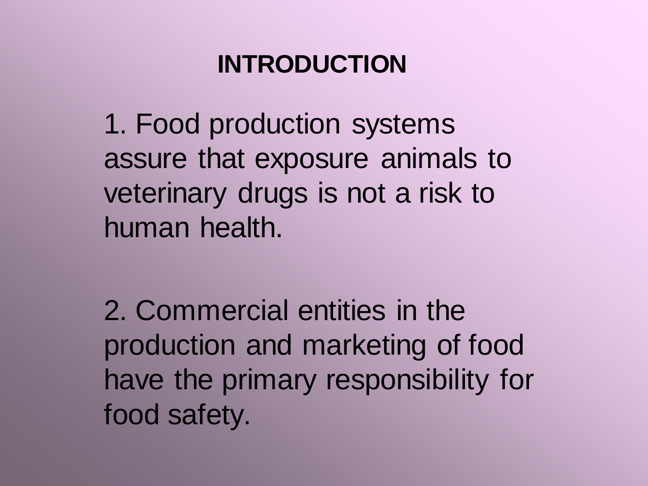1. Food production systems assure that exposure animals to veterinary drugs is not a risk to human health.

2. Commercial entities in the production and marketing of food have the primary responsibility for food safety.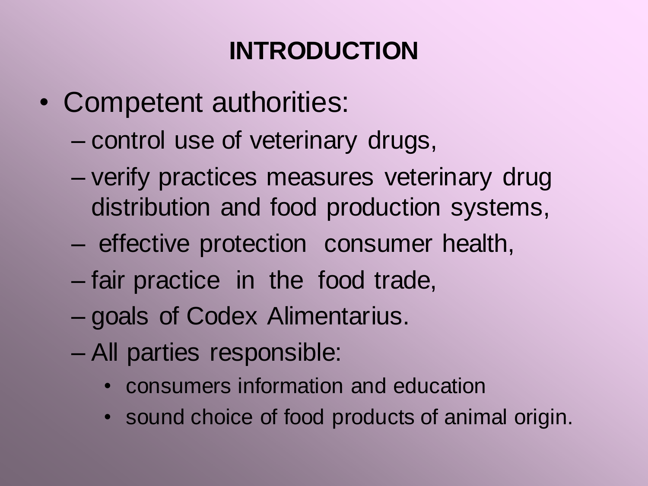- Competent authorities:
	- control use of veterinary drugs,
	- verify practices measures veterinary drug distribution and food production systems,
	- effective protection consumer health,
	- fair practice in the food trade,
	- goals of Codex Alimentarius.
	- All parties responsible:
		- consumers information and education
		- sound choice of food products of animal origin.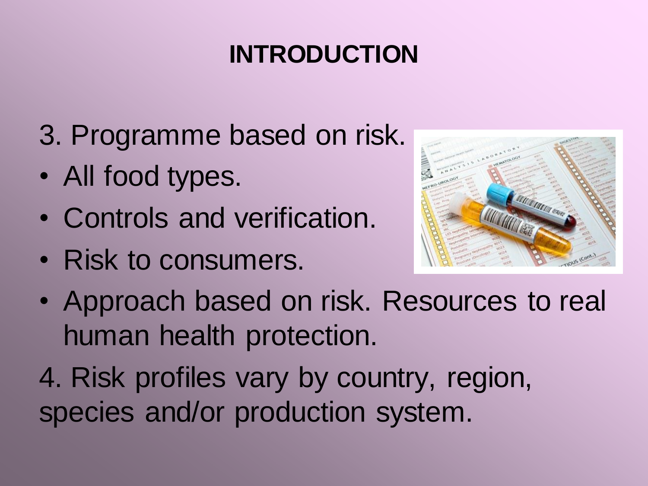- 3. Programme based on risk.
- All food types.
- Controls and verification.
- Risk to consumers.



- Approach based on risk. Resources to real human health protection.
- 4. Risk profiles vary by country, region, species and/or production system.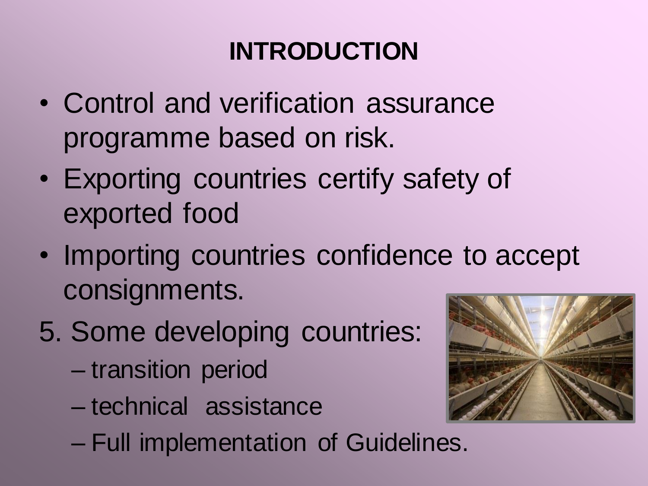- Control and verification assurance programme based on risk.
- Exporting countries certify safety of exported food
- Importing countries confidence to accept consignments.
- 5. Some developing countries:
	- transition period
	- technical assistance
	- Full implementation of Guidelines.

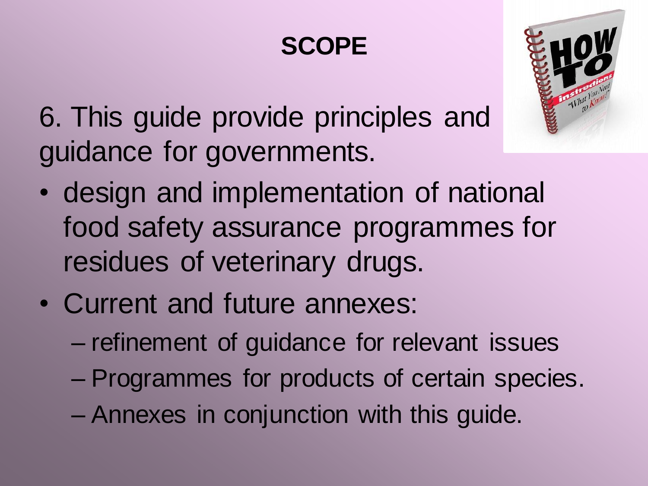# **SCOPE**



6. This guide provide principles and guidance for governments.

- design and implementation of national food safety assurance programmes for residues of veterinary drugs.
- Current and future annexes:
	- refinement of guidance for relevant issues
	- Programmes for products of certain species.
	- Annexes in conjunction with this guide.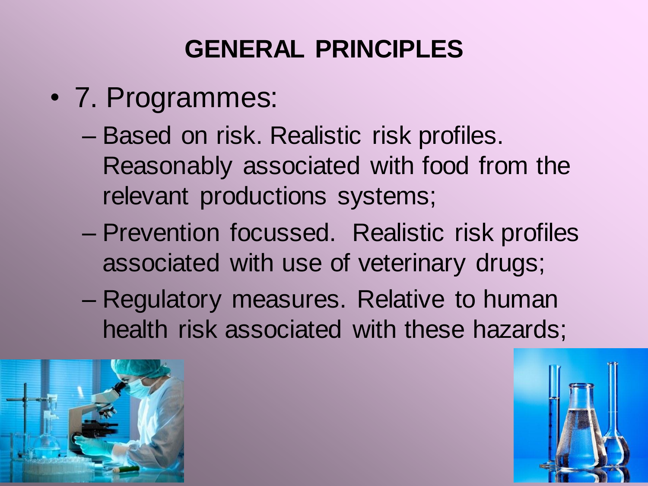- 7. Programmes:
	- Based on risk. Realistic risk profiles. Reasonably associated with food from the relevant productions systems;
	- Prevention focussed. Realistic risk profiles associated with use of veterinary drugs;
	- Regulatory measures. Relative to human health risk associated with these hazards;



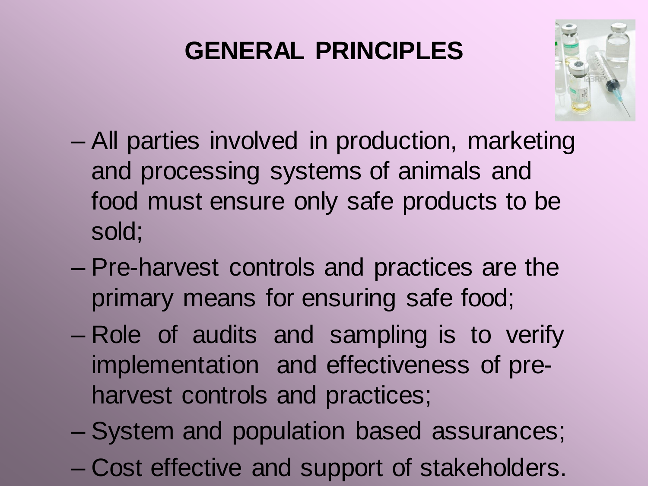

- All parties involved in production, marketing and processing systems of animals and food must ensure only safe products to be sold;
- Pre-harvest controls and practices are the primary means for ensuring safe food;
- Role of audits and sampling is to verify implementation and effectiveness of preharvest controls and practices;
- System and population based assurances;
- Cost effective and support of stakeholders.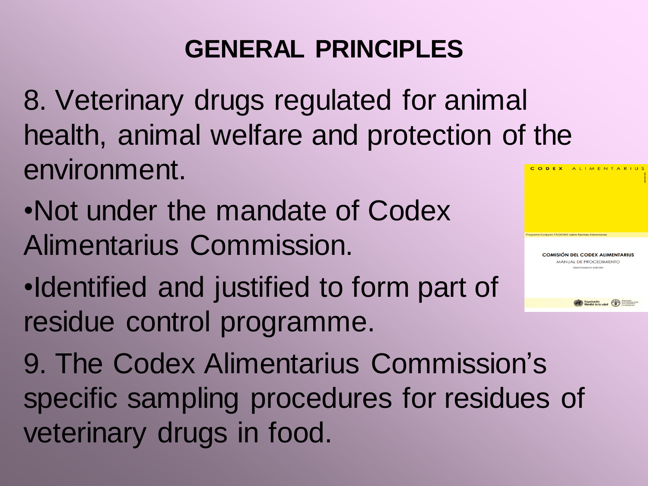- 8. Veterinary drugs regulated for animal health, animal welfare and protection of the environment.
- •Not under the mandate of Codex Alimentarius Commission.
- •Identified and justified to form part of residue control programme.
- 9. The Codex Alimentarius Commission's specific sampling procedures for residues of veterinary drugs in food.

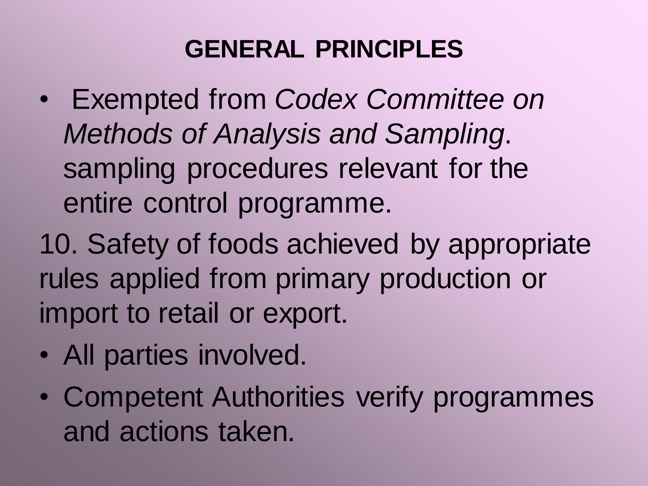- Exempted from *Codex Committee on Methods of Analysis and Sampling*. sampling procedures relevant for the entire control programme.
- 10. Safety of foods achieved by appropriate rules applied from primary production or import to retail or export.
- All parties involved.
- Competent Authorities verify programmes and actions taken.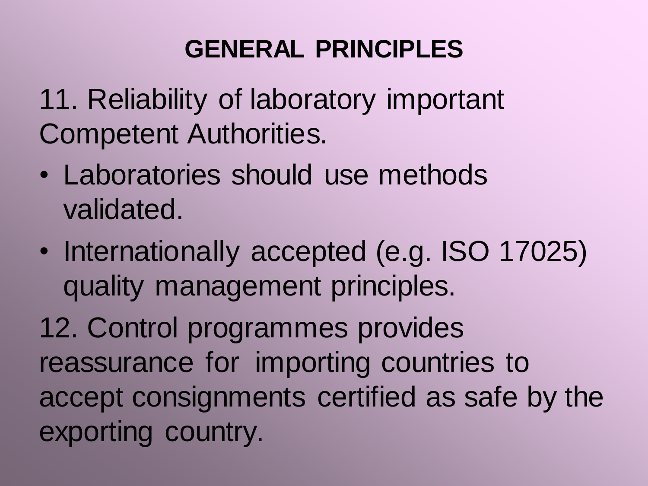11. Reliability of laboratory important Competent Authorities.

- Laboratories should use methods validated.
- Internationally accepted (e.g. ISO 17025) quality management principles.

12. Control programmes provides reassurance for importing countries to accept consignments certified as safe by the exporting country.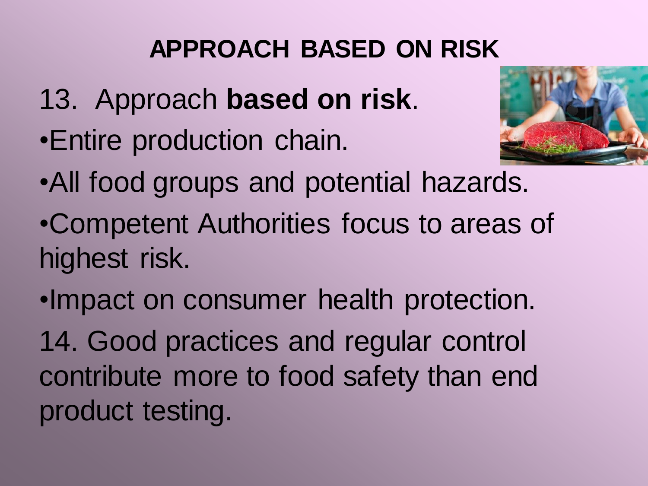- 13. Approach **based on risk**.
- •Entire production chain.



- •All food groups and potential hazards.
- •Competent Authorities focus to areas of highest risk.
- •Impact on consumer health protection.

14. Good practices and regular control contribute more to food safety than end product testing.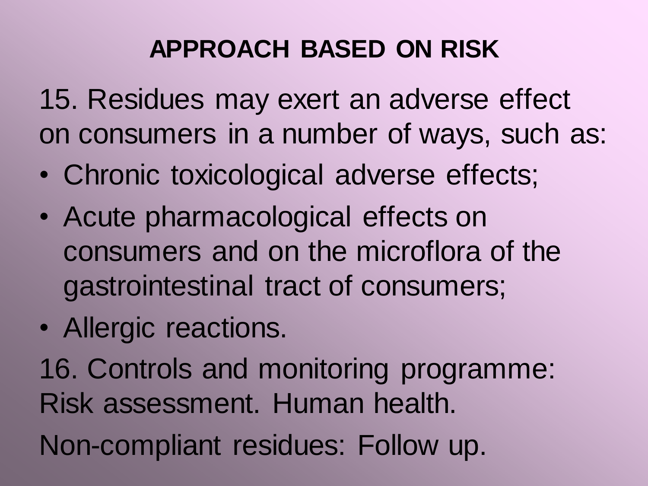15. Residues may exert an adverse effect on consumers in a number of ways, such as:

- Chronic toxicological adverse effects;
- Acute pharmacological effects on consumers and on the microflora of the gastrointestinal tract of consumers;
- Allergic reactions.

16. Controls and monitoring programme: Risk assessment. Human health.

Non-compliant residues: Follow up.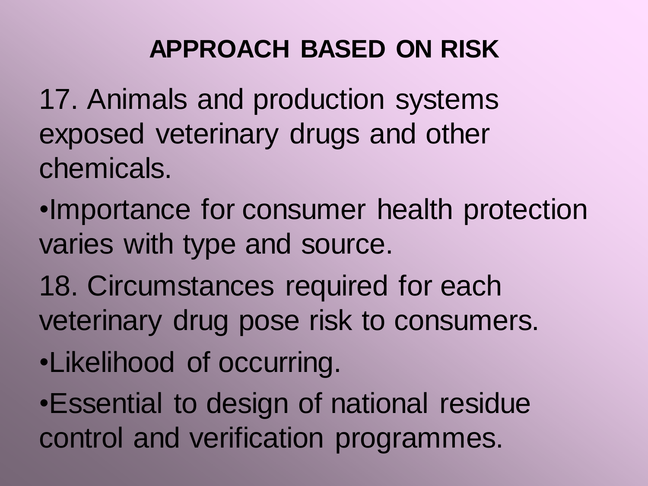- 17. Animals and production systems exposed veterinary drugs and other chemicals.
- •Importance for consumer health protection varies with type and source.
- 18. Circumstances required for each veterinary drug pose risk to consumers.
- •Likelihood of occurring.
- •Essential to design of national residue control and verification programmes.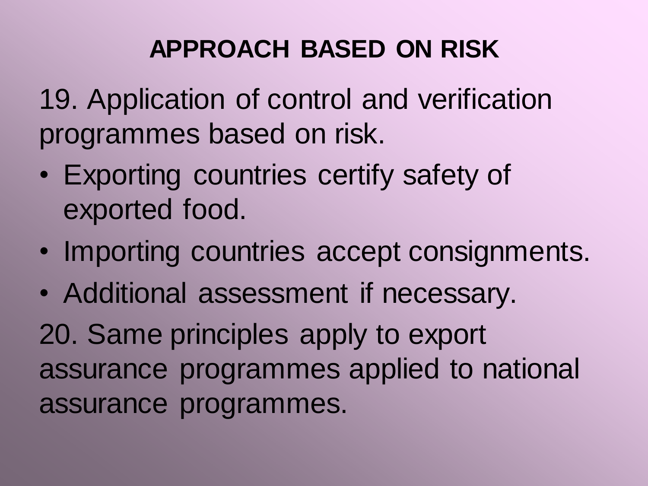19. Application of control and verification programmes based on risk.

- Exporting countries certify safety of exported food.
- Importing countries accept consignments.
- Additional assessment if necessary.

20. Same principles apply to export assurance programmes applied to national assurance programmes.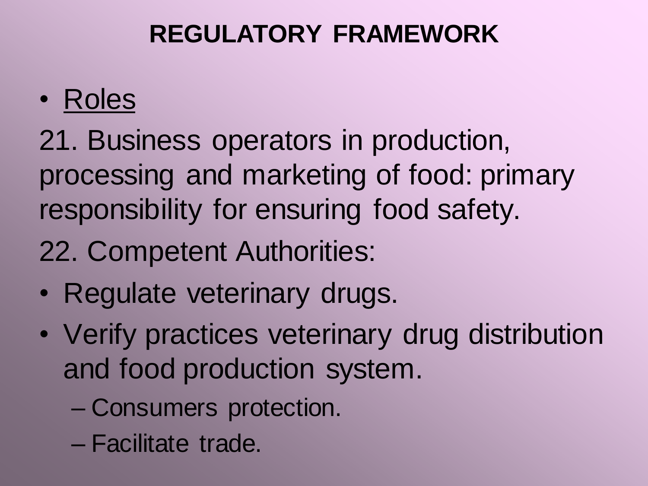• Roles

21. Business operators in production, processing and marketing of food: primary responsibility for ensuring food safety.

- 22. Competent Authorities:
- Regulate veterinary drugs.
- Verify practices veterinary drug distribution and food production system.
	- Consumers protection.
	- Facilitate trade.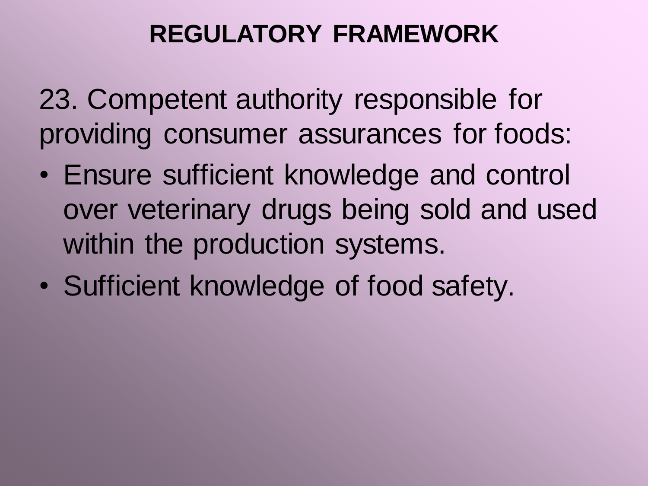23. Competent authority responsible for providing consumer assurances for foods:

- Ensure sufficient knowledge and control over veterinary drugs being sold and used within the production systems.
- Sufficient knowledge of food safety.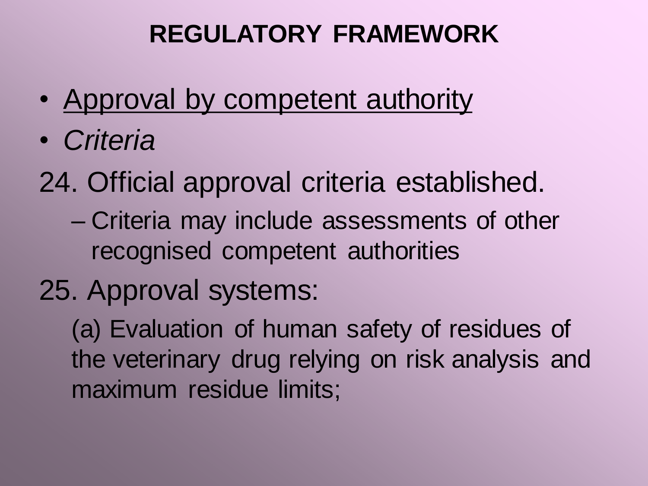- Approval by competent authority
- *Criteria*
- 24. Official approval criteria established.
	- Criteria may include assessments of other recognised competent authorities
- 25. Approval systems:

(a) Evaluation of human safety of residues of the veterinary drug relying on risk analysis and maximum residue limits;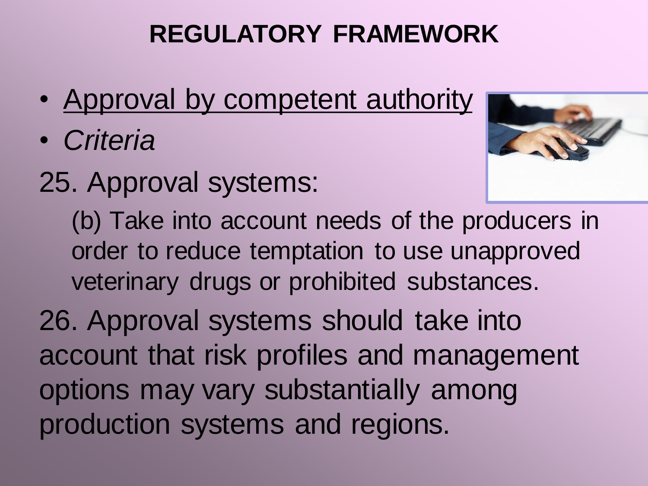- Approval by competent authority
- *Criteria*
- 25. Approval systems:



(b) Take into account needs of the producers in order to reduce temptation to use unapproved veterinary drugs or prohibited substances.

26. Approval systems should take into account that risk profiles and management options may vary substantially among production systems and regions.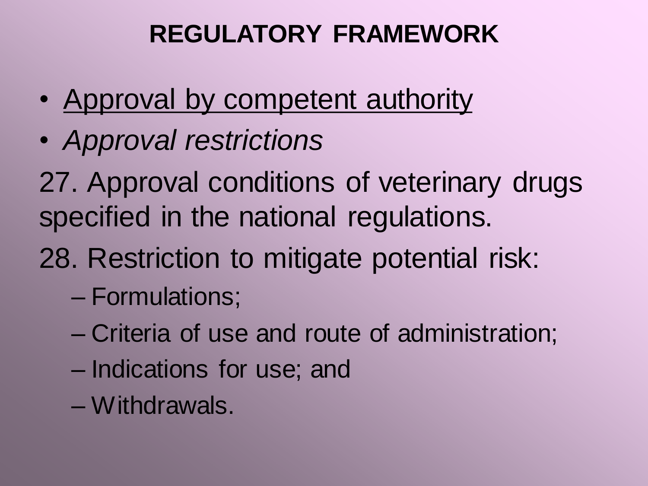- Approval by competent authority
- *Approval restrictions*

27. Approval conditions of veterinary drugs specified in the national regulations.

- 28. Restriction to mitigate potential risk:
	- Formulations;
	- Criteria of use and route of administration;
	- Indications for use; and
	- Withdrawals.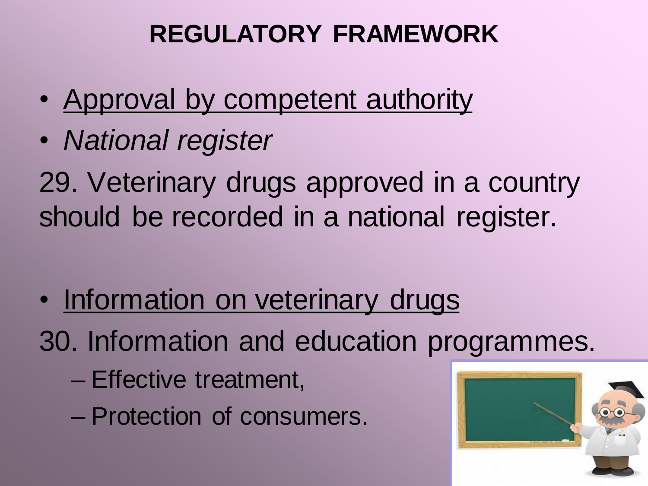- Approval by competent authority
- *National register*

29. Veterinary drugs approved in a country should be recorded in a national register.

• Information on veterinary drugs

30. Information and education programmes.

- Effective treatment,
- Protection of consumers.

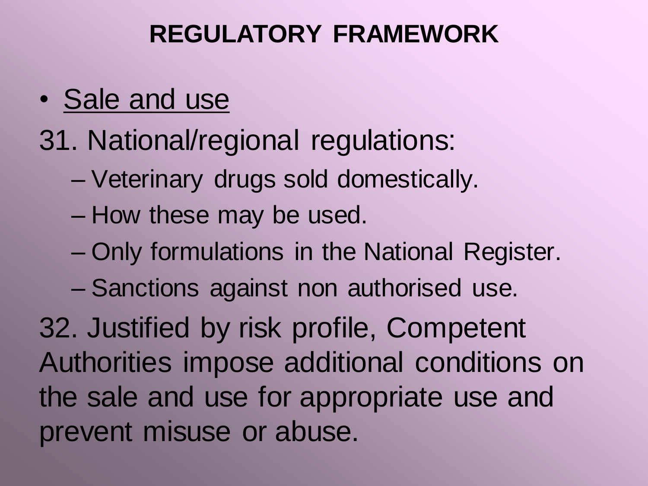- Sale and use
- 31. National/regional regulations:
	- Veterinary drugs sold domestically.
	- How these may be used.
	- Only formulations in the National Register.
	- Sanctions against non authorised use.

32. Justified by risk profile, Competent Authorities impose additional conditions on the sale and use for appropriate use and prevent misuse or abuse.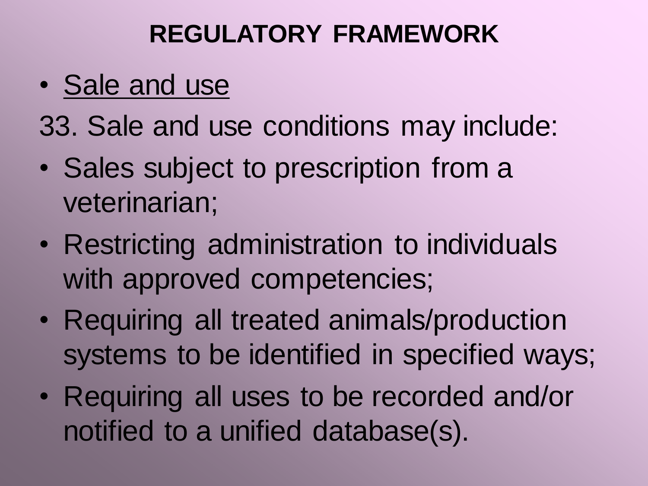• Sale and use

33. Sale and use conditions may include:

- Sales subject to prescription from a veterinarian;
- Restricting administration to individuals with approved competencies;
- Requiring all treated animals/production systems to be identified in specified ways;
- Requiring all uses to be recorded and/or notified to a unified database(s).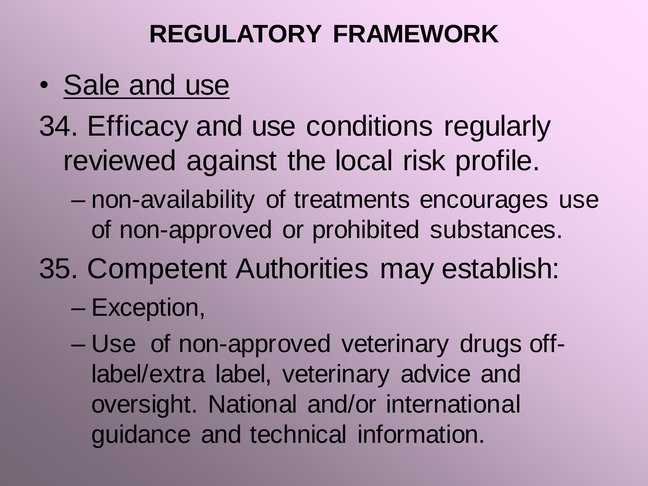- Sale and use
- 34. Efficacy and use conditions regularly reviewed against the local risk profile.
	- non-availability of treatments encourages use of non-approved or prohibited substances.
- 35. Competent Authorities may establish:
	- Exception,
	- Use of non-approved veterinary drugs offlabel/extra label, veterinary advice and oversight. National and/or international guidance and technical information.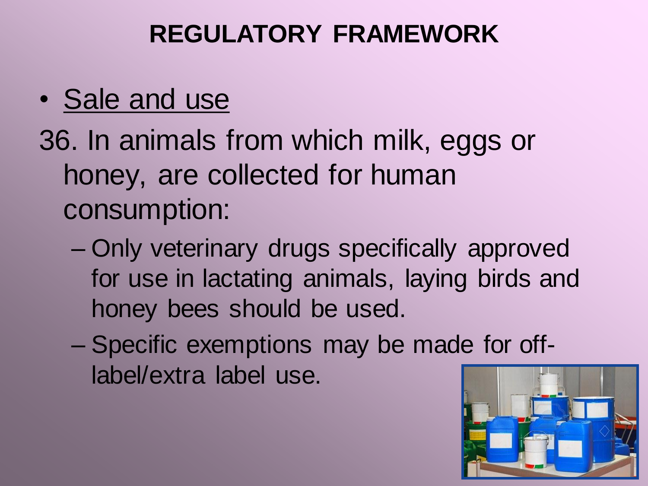- Sale and use
- 36. In animals from which milk, eggs or honey, are collected for human consumption:
	- Only veterinary drugs specifically approved for use in lactating animals, laying birds and honey bees should be used.
	- Specific exemptions may be made for offlabel/extra label use.

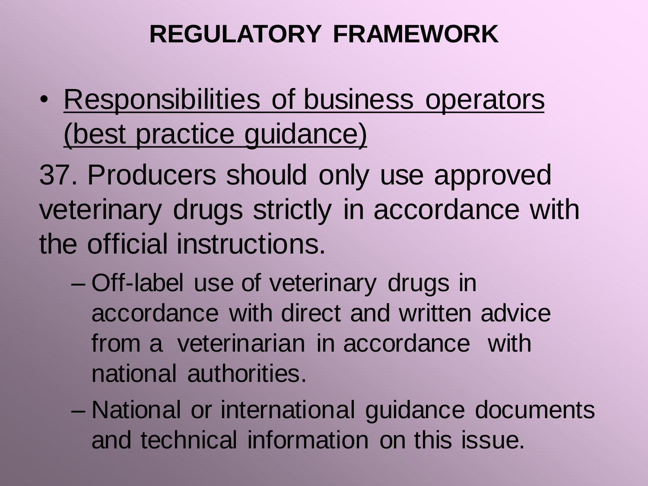• Responsibilities of business operators (best practice guidance)

37. Producers should only use approved veterinary drugs strictly in accordance with the official instructions.

- Off-label use of veterinary drugs in accordance with direct and written advice from a veterinarian in accordance with national authorities.
- National or international guidance documents and technical information on this issue.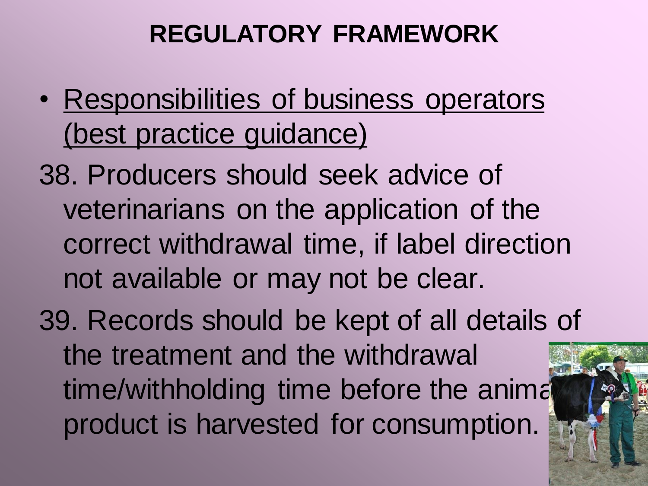- Responsibilities of business operators (best practice guidance)
- 38. Producers should seek advice of veterinarians on the application of the correct withdrawal time, if label direction not available or may not be clear.
- 39. Records should be kept of all details of the treatment and the withdrawal time/withholding time before the animal product is harvested for consumption.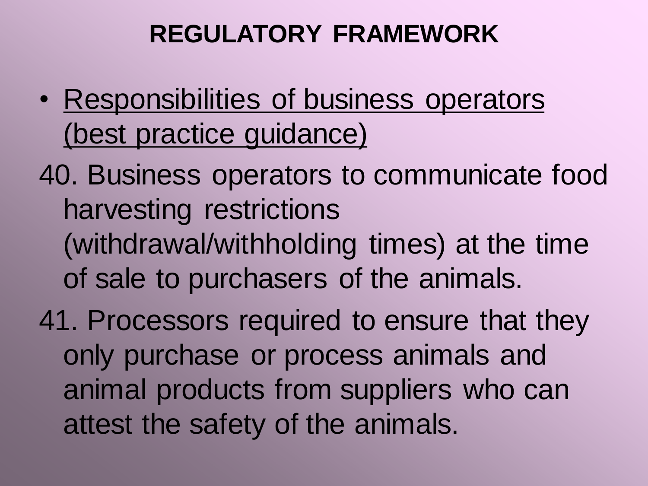- Responsibilities of business operators (best practice guidance)
- 40. Business operators to communicate food harvesting restrictions (withdrawal/withholding times) at the time of sale to purchasers of the animals.
- 41. Processors required to ensure that they only purchase or process animals and animal products from suppliers who can attest the safety of the animals.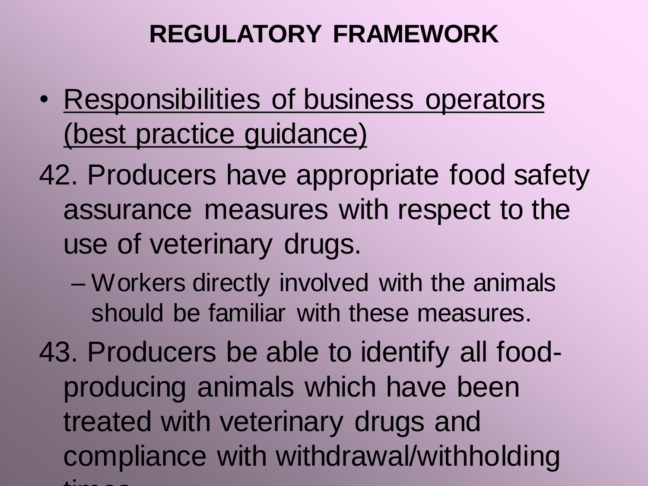- Responsibilities of business operators (best practice guidance)
- 42. Producers have appropriate food safety assurance measures with respect to the use of veterinary drugs.
	- Workers directly involved with the animals should be familiar with these measures.
- 43. Producers be able to identify all foodproducing animals which have been treated with veterinary drugs and compliance with withdrawal/withholding times.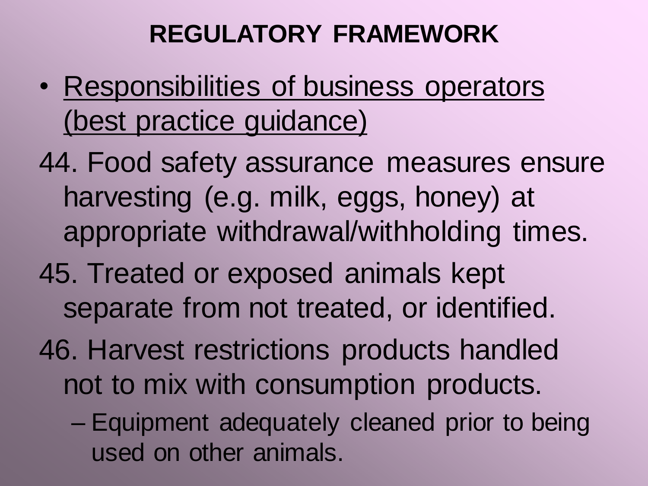- Responsibilities of business operators (best practice guidance)
- 44. Food safety assurance measures ensure harvesting (e.g. milk, eggs, honey) at appropriate withdrawal/withholding times.
- 45. Treated or exposed animals kept separate from not treated, or identified.
- 46. Harvest restrictions products handled not to mix with consumption products.
	- Equipment adequately cleaned prior to being used on other animals.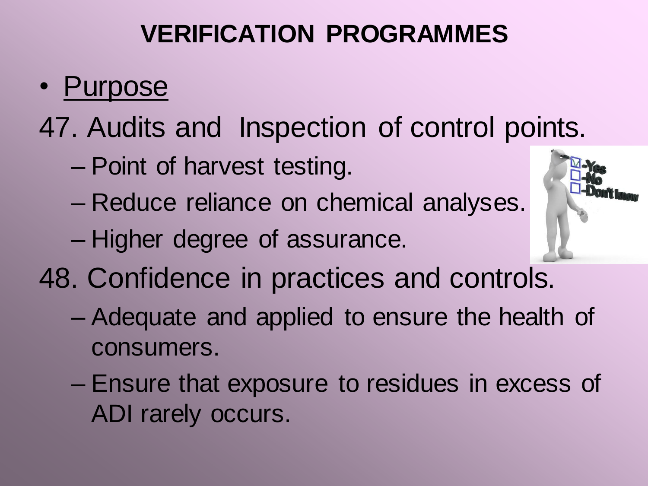- Purpose
- 47. Audits and Inspection of control points.
	- Point of harvest testing.
	- Reduce reliance on chemical analyses.
	- Higher degree of assurance.



- 48. Confidence in practices and controls.
	- Adequate and applied to ensure the health of consumers.
	- Ensure that exposure to residues in excess of ADI rarely occurs.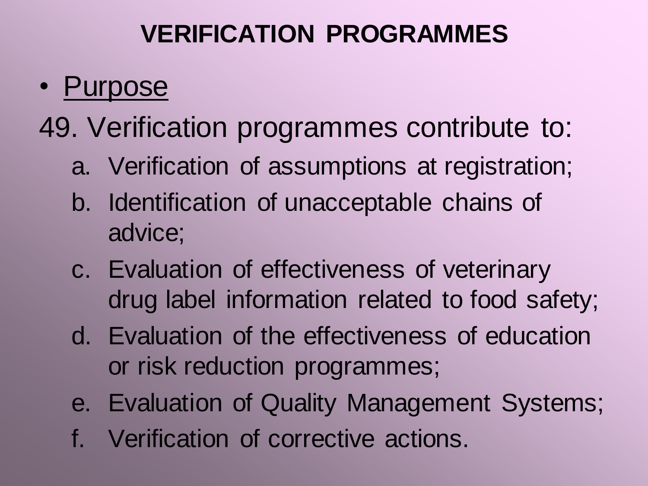- Purpose
- 49. Verification programmes contribute to:
	- a. Verification of assumptions at registration;
	- b. Identification of unacceptable chains of advice;
	- c. Evaluation of effectiveness of veterinary drug label information related to food safety;
	- d. Evaluation of the effectiveness of education or risk reduction programmes;
	- e. Evaluation of Quality Management Systems;
	- f. Verification of corrective actions.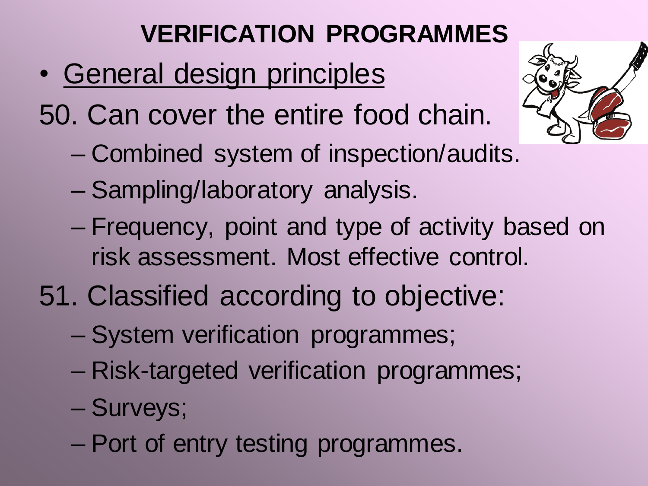• General design principles

50. Can cover the entire food chain.

- Combined system of inspection/audits.
- Sampling/laboratory analysis.
- Frequency, point and type of activity based on risk assessment. Most effective control.
- 51. Classified according to objective:
	- System verification programmes;
	- Risk-targeted verification programmes;
	- Surveys;
	- Port of entry testing programmes.

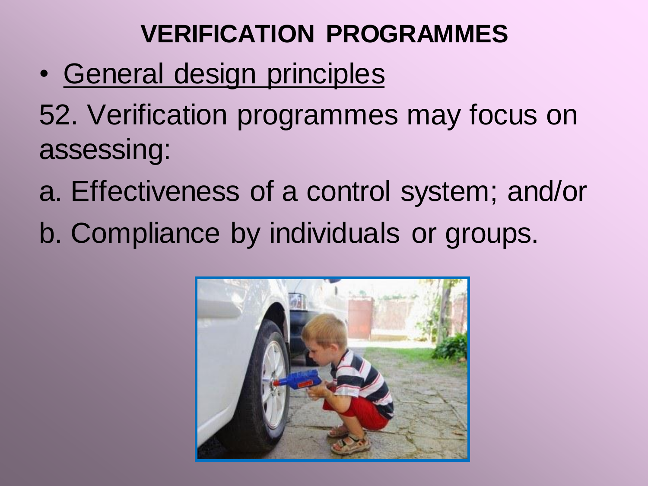• General design principles

52. Verification programmes may focus on assessing:

- a. Effectiveness of a control system; and/or
- b. Compliance by individuals or groups.

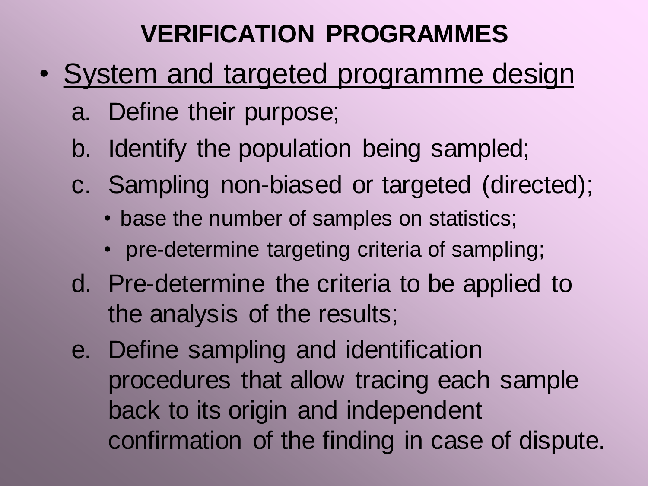- System and targeted programme design
	- a. Define their purpose;
	- b. Identify the population being sampled;
	- c. Sampling non-biased or targeted (directed);
		- base the number of samples on statistics;
		- pre-determine targeting criteria of sampling;
	- d. Pre-determine the criteria to be applied to the analysis of the results;
	- e. Define sampling and identification procedures that allow tracing each sample back to its origin and independent confirmation of the finding in case of dispute.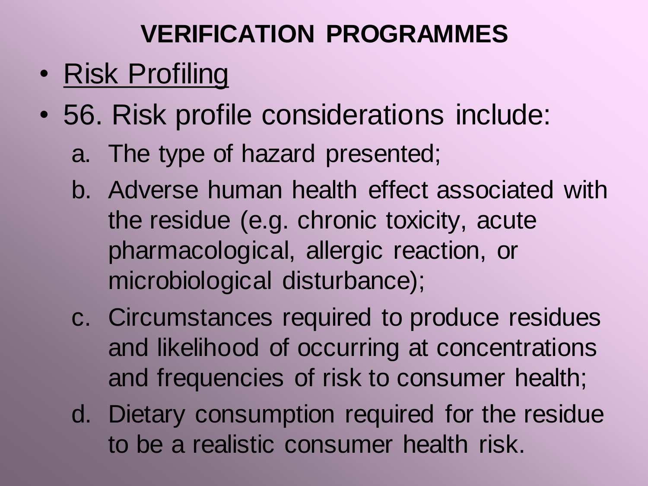- Risk Profiling
- 56. Risk profile considerations include:
	- a. The type of hazard presented;
	- b. Adverse human health effect associated with the residue (e.g. chronic toxicity, acute pharmacological, allergic reaction, or microbiological disturbance);
	- c. Circumstances required to produce residues and likelihood of occurring at concentrations and frequencies of risk to consumer health;
	- d. Dietary consumption required for the residue to be a realistic consumer health risk.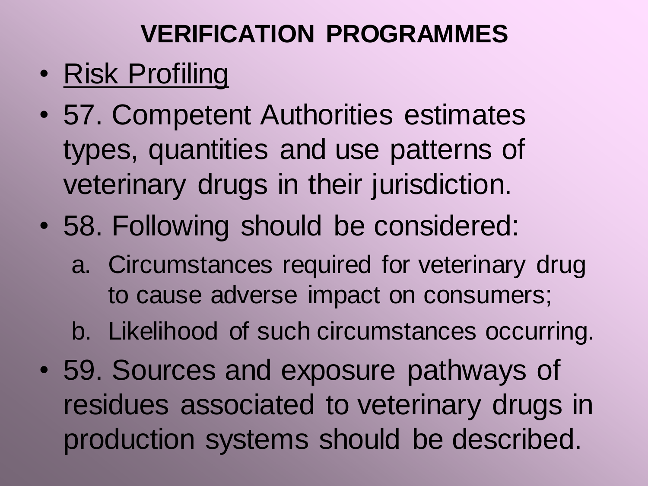- Risk Profiling
- 57. Competent Authorities estimates types, quantities and use patterns of veterinary drugs in their jurisdiction.
- 58. Following should be considered:
	- a. Circumstances required for veterinary drug to cause adverse impact on consumers;
	- b. Likelihood of such circumstances occurring.
- 59. Sources and exposure pathways of residues associated to veterinary drugs in production systems should be described.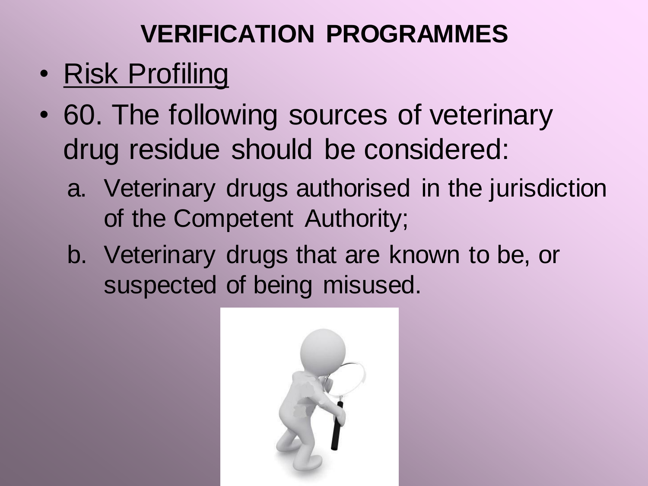- Risk Profiling
- 60. The following sources of veterinary drug residue should be considered:
	- a. Veterinary drugs authorised in the jurisdiction of the Competent Authority;
	- b. Veterinary drugs that are known to be, or suspected of being misused.

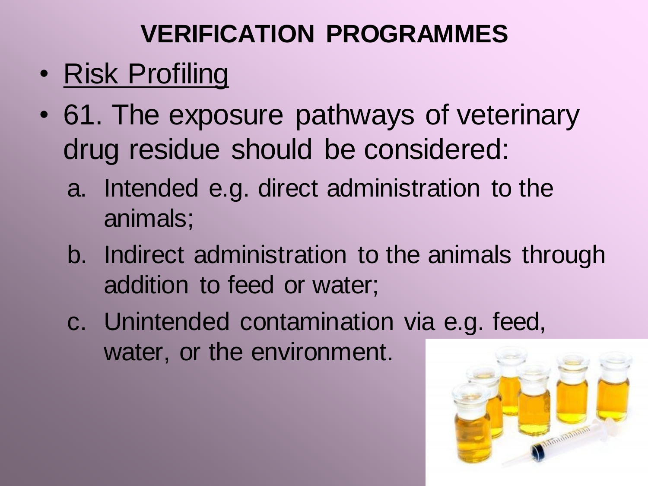- Risk Profiling
- 61. The exposure pathways of veterinary drug residue should be considered:
	- a. Intended e.g. direct administration to the animals;
	- b. Indirect administration to the animals through addition to feed or water;
	- c. Unintended contamination via e.g. feed, water, or the environment.

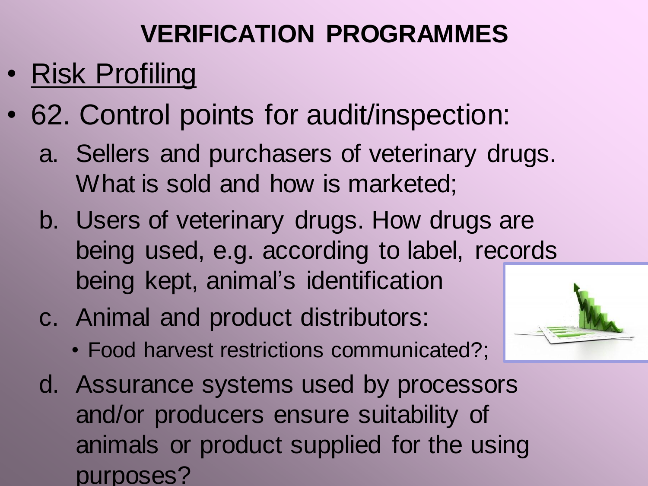- Risk Profiling
- 62. Control points for audit/inspection:
	- a. Sellers and purchasers of veterinary drugs. What is sold and how is marketed;
	- b. Users of veterinary drugs. How drugs are being used, e.g. according to label, records being kept, animal's identification
	- c. Animal and product distributors:
		- Food harvest restrictions communicated?;
	- d. Assurance systems used by processors and/or producers ensure suitability of animals or product supplied for the using purposes?